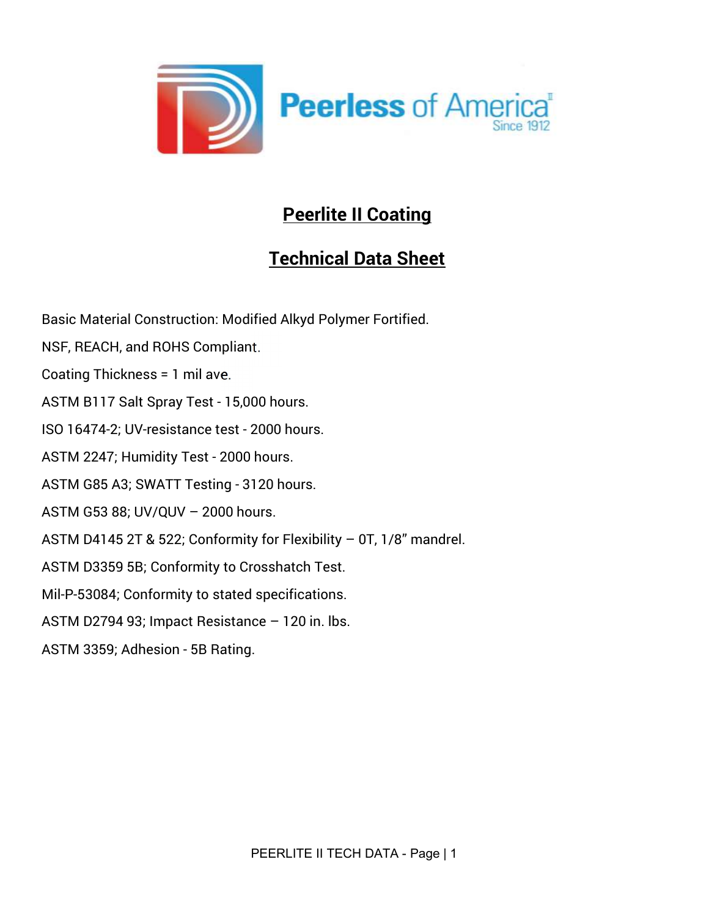

# Peerlite II Coating

# Technical Data Sheet

Basic Material Construction: Modified Alkyd Polymer Fortified. NSF, REACH, and ROHS Compliant. Coating Thickness = 1 mil ave. ASTM B117 Salt Spray Test - 15,000 hours. ISO 16474-2; UV-resistance test - 2000 hours. ASTM 2247; Humidity Test - 2000 hours. ASTM G85 A3; SWATT Testing - 3120 hours. ASTM G53 88; UV/QUV – 2000 hours. ASTM D4145 2T & 522; Conformity for Flexibility – 0T, 1/8" mandrel. ASTM D3359 5B; Conformity to Crosshatch Test. Mil-P-53084; Conformity to stated specifications. ASTM D2794 93; Impact Resistance – 120 in. lbs. ASTM 3359; Adhesion - 5B Rating.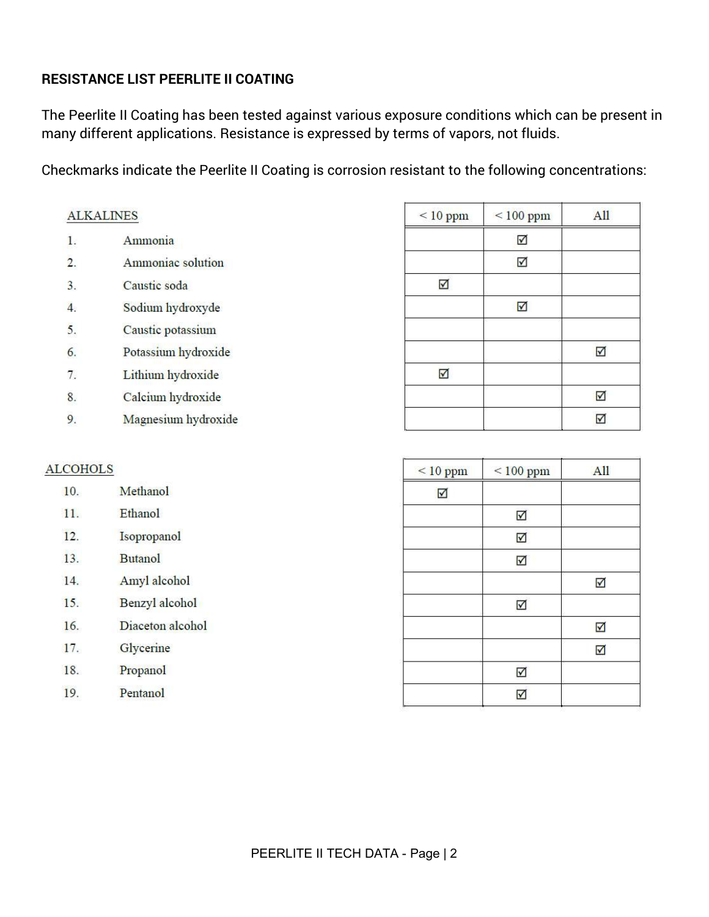## RESISTANCE LIST PEERLITE II COATING

19.

Pentanol

The Peerlite II Coating has been tested against various exposure conditions which can be present in many different applications. Resistance is expressed by terms of vapors, not fluids.

Checkmarks indicate the Peerlite II Coating is corrosion resistant to the following concentrations:

| <b>ALKALINES</b> |                     | $< 10$ ppm                      | $< 100$ ppm             | All                     |
|------------------|---------------------|---------------------------------|-------------------------|-------------------------|
| 1.               | Ammonia             |                                 | $\overline{\mathbf{M}}$ |                         |
| 2.               | Ammoniac solution   |                                 | $\overline{\mathbf{y}}$ |                         |
| 3.               | Caustic soda        | $\blacktriangledown$            |                         |                         |
| $\overline{4}$ . | Sodium hydroxyde    |                                 | $\overline{\mathbf{Y}}$ |                         |
| 5.               | Caustic potassium   |                                 |                         |                         |
| 6.               | Potassium hydroxide |                                 |                         | $\overline{\mathbf{M}}$ |
| 7.               | Lithium hydroxide   | $\overline{\blacktriangledown}$ |                         |                         |
| 8.               | Calcium hydroxide   |                                 |                         | $\Delta$                |
| 9.               | Magnesium hydroxide |                                 |                         | $\Delta$                |
|                  |                     |                                 |                         |                         |
| <b>ALCOHOLS</b>  |                     | $\leq 10$ ppm                   | $< 100$ ppm             | All                     |
| 10.              | Methanol            | $\overline{\mathbf{M}}$         |                         |                         |
| 11.              | Ethanol             |                                 | $\overline{\vee}$       |                         |
| 12.              | Isopropanol         |                                 | $\triangledown$         |                         |
| 13.              | <b>Butanol</b>      |                                 | $\blacktriangledown$    |                         |
| 14.              | Amyl alcohol        |                                 |                         | $\blacktriangledown$    |
| 15.              | Benzyl alcohol      |                                 | $\Delta$                |                         |
| 16.              | Diaceton alcohol    |                                 |                         | $\blacktriangledown$    |
| 17.              | Glycerine           |                                 |                         | $\overline{\mathbf{v}}$ |
| 18.              | Propanol            |                                 | $\blacktriangledown$    |                         |

 $\overline{\mathbf{v}}$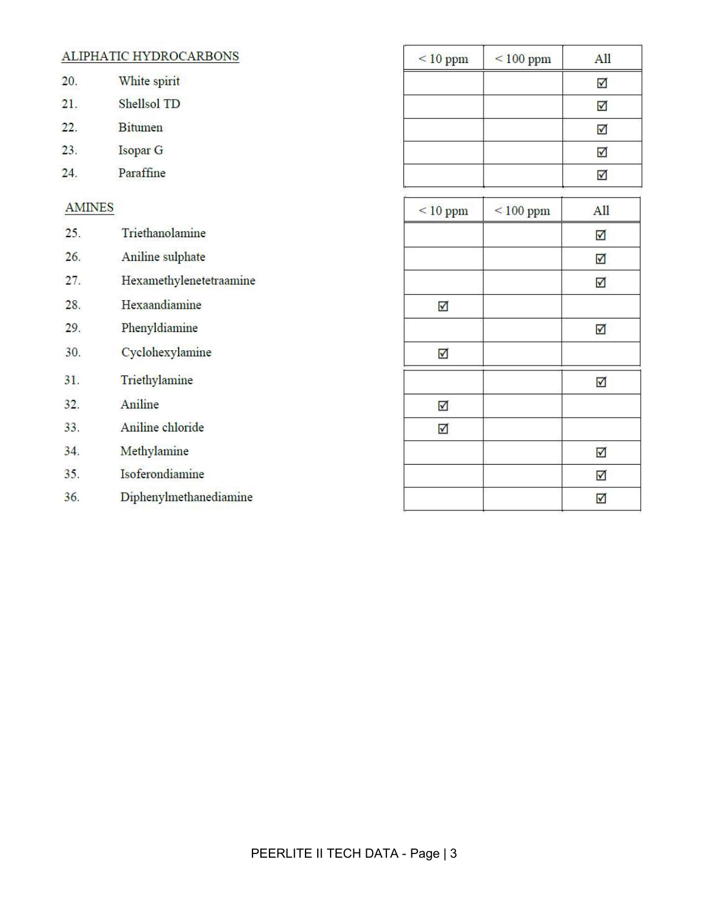|               | ALIPHATIC HYDROCARBONS  | $\leq 10$ ppm           | $< 100$ ppm | A11                             |
|---------------|-------------------------|-------------------------|-------------|---------------------------------|
| 20.           | White spirit            |                         |             | $\blacktriangledown$            |
| 21.           | Shellsol TD             |                         |             | $\blacktriangledown$            |
| 22.           | Bitumen                 |                         |             | $\triangledown$                 |
| 23.           | Isopar G                |                         |             | $\blacktriangledown$            |
| 24.           | Paraffine               |                         |             | $\Delta$                        |
| <b>AMINES</b> |                         | $< 10$ ppm              | $< 100$ ppm | All                             |
| 25.           | Triethanolamine         |                         |             | $\overline{\mathbf{Y}}$         |
| 26.           | Aniline sulphate        |                         |             | $\triangledown$                 |
| 27.           | Hexamethylenetetraamine |                         |             | $\triangledown$                 |
| 28.           | Hexaandiamine           | $\triangledown$         |             |                                 |
| 29.           | Phenyldiamine           |                         |             | $\overline{\mathsf{M}}$         |
| 30.           | Cyclohexylamine         | $\overline{\vee}$       |             |                                 |
| 31.           | Triethylamine           |                         |             | $\overline{\blacktriangledown}$ |
| 32.           | Aniline                 | $\overline{\mathbf{M}}$ |             |                                 |
| 33.           | Aniline chloride        | $\overline{\boxtimes}$  |             |                                 |
| 34.           | Methylamine             |                         |             | $\overline{\mathbf{N}}$         |
| 35.           | Isoferondiamine         |                         |             | $\overline{\leq}$               |
| 36.           | Diphenylmethanediamine  |                         |             | $\triangledown$                 |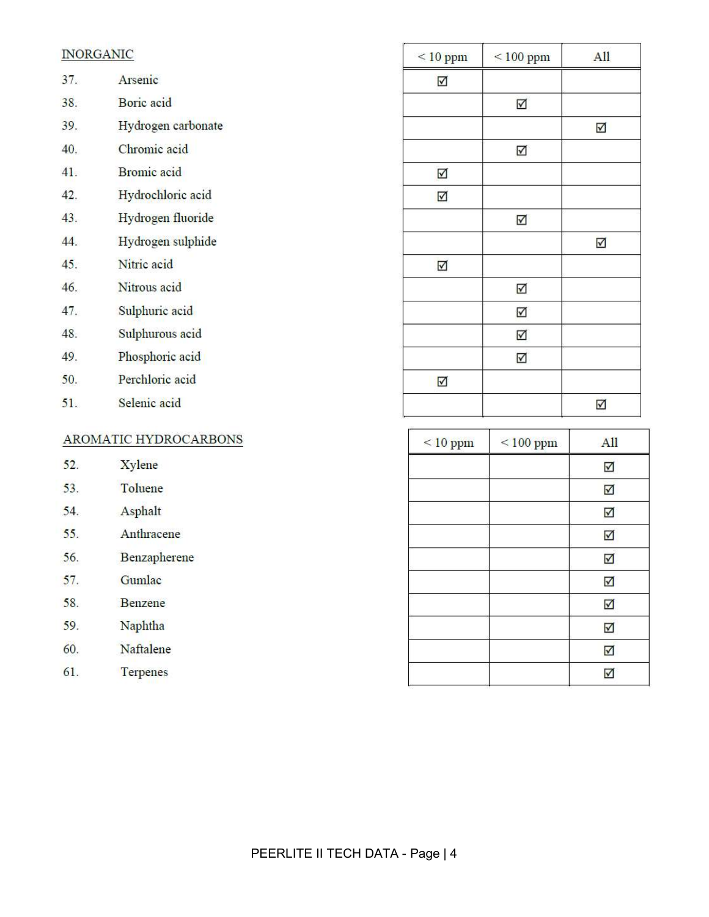|     | <b>INORGANIC</b>      | $\leq 10$ ppm           | $\leq 100$ ppm          | All                             |
|-----|-----------------------|-------------------------|-------------------------|---------------------------------|
| 37. | Arsenic               | ☑                       |                         |                                 |
| 38. | Boric acid            |                         | $\overline{\mathbf{N}}$ |                                 |
| 39. | Hydrogen carbonate    |                         |                         | $\blacktriangledown$            |
| 40. | Chromic acid          |                         | $\overline{\mathbf{M}}$ |                                 |
| 41. | <b>Bromic</b> acid    | $\Delta$                |                         |                                 |
| 42. | Hydrochloric acid     | $\boxtimes$             |                         |                                 |
| 43. | Hydrogen fluoride     |                         | $\blacktriangledown$    |                                 |
| 44. | Hydrogen sulphide     |                         |                         | $\triangledown$                 |
| 45. | Nitric acid           | $\overline{\mathbf{M}}$ |                         |                                 |
| 46. | Nitrous acid          |                         | √                       |                                 |
| 47. | Sulphuric acid        |                         | $\Delta$                |                                 |
| 48. | Sulphurous acid       |                         | $\Delta$                |                                 |
| 49. | Phosphoric acid       |                         | $\overline{\mathbf{y}}$ |                                 |
| 50. | Perchloric acid       | $\overline{\mathbb{M}}$ |                         |                                 |
| 51. | Selenic acid          |                         |                         | $\overline{\mathbf{y}}$         |
|     | AROMATIC HYDROCARBONS | $< 10$ ppm              | $< 100$ ppm             | All                             |
| 52. | <b>Xylene</b>         |                         |                         | $\blacktriangledown$            |
| 53. | Toluene               |                         |                         | $\blacktriangledown$            |
| 54. | Asphalt               |                         |                         | $\blacktriangledown$            |
| 55. | Anthracene            |                         |                         | $\triangledown$                 |
| 56. | Benzapherene          |                         |                         | $\blacktriangledown$            |
| 57. | Gumlac                |                         |                         | $\blacktriangledown$            |
| 58. | Benzene               |                         |                         | $\overline{\mathbf{v}}$         |
| 59. | Naphtha               |                         |                         | $\blacktriangledown$            |
| 60. | Naftalene             |                         |                         | $\overline{\blacktriangledown}$ |
| 61. | Terpenes              |                         |                         | $\blacktriangledown$            |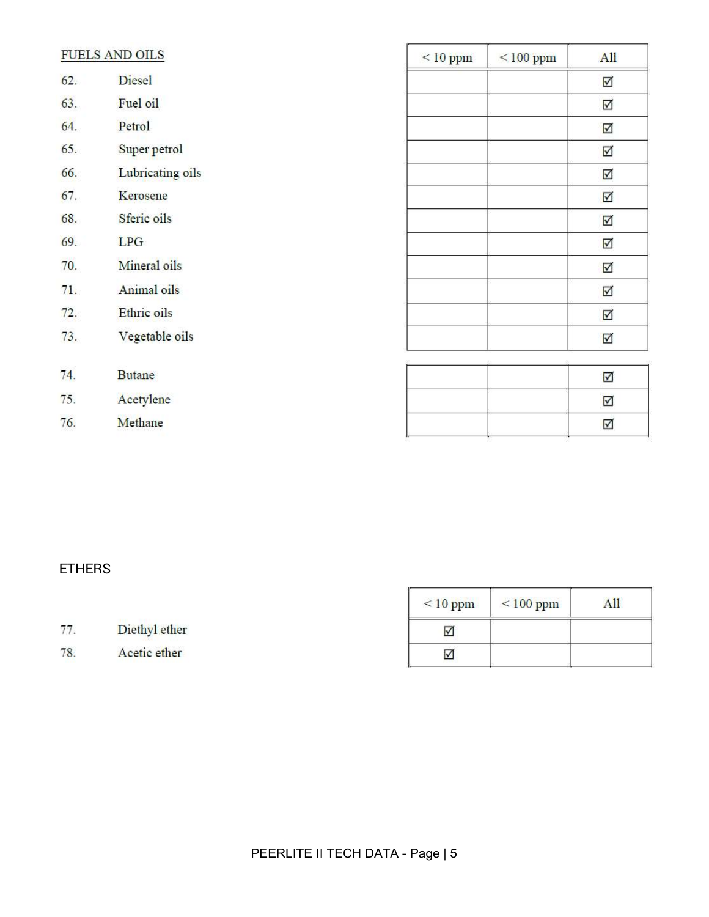|     | FUELS AND OILS   | $< 10$ ppm | $< 100$ ppm | All                     |
|-----|------------------|------------|-------------|-------------------------|
| 62. | Diesel           |            |             | $\overline{\mathbf{v}}$ |
| 63. | Fuel oil         |            |             | $\triangledown$         |
| 64. | Petrol           |            |             | $\triangledown$         |
| 65. | Super petrol     |            |             | $\blacktriangledown$    |
| 66. | Lubricating oils |            |             | $\triangledown$         |
| 67. | Kerosene         |            |             | $\overline{\mathbf{Y}}$ |
| 68. | Sferic oils      |            |             | $\blacktriangledown$    |
| 69. | LPG              |            |             | $\overline{\mathbf{M}}$ |
| 70. | Mineral oils     |            |             | $\triangledown$         |
| 71. | Animal oils      |            |             | $\triangledown$         |
| 72. | Ethric oils      |            |             | $\triangledown$         |
| 73. | Vegetable oils   |            |             | $\triangledown$         |
|     |                  |            |             |                         |
| 74. | <b>Butane</b>    |            |             | $\overline{\mathsf{v}}$ |
| 75. | Acetylene        |            |             | $\overline{\mathbf{M}}$ |
| 76. | Methane          |            |             | ☑                       |

## **ETHERS**

|     |               | $\leq 10$ ppm | $< 100$ ppm | All |
|-----|---------------|---------------|-------------|-----|
| 77  | Diethyl ether | M             |             |     |
| 78. | Acetic ether  | ✓             |             |     |

r

٦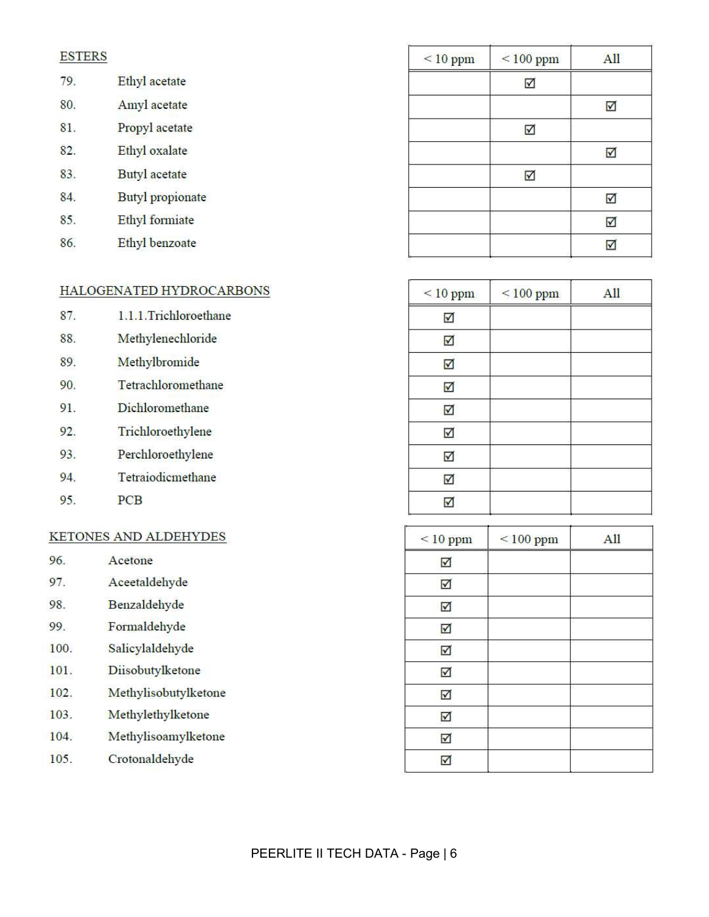#### **ESTERS**

| 79. | Ethyl acetate           |
|-----|-------------------------|
| 80. | Amyl acetate            |
| 81. | Propyl acetate          |
| 82. | Ethyl oxalate           |
| 83. | Butyl acetate           |
| 84. | <b>Butyl</b> propionate |
| 85. | Ethyl formiate          |

86. Ethyl benzoate

### HALOGENATED HYDROCARBONS

| 87. | 1.1.1.Trichloroethane |
|-----|-----------------------|
| 88. | Methylenechloride     |
| 89. | Methylbromide         |
| 90. | Tetrachloromethane    |
| 91. | Dichloromethane       |
| 92. | Trichloroethylene     |
| 93. | Perchloroethylene     |
| 94. | Tetraiodicmethane     |
| 95. | <b>PCB</b>            |

#### KETONES AND ALDEHYDES

| 96. | Acetone       |
|-----|---------------|
| 97. | Aceetaldehyde |

- 98. Benzaldehyde
- 99. Formaldehyde
- 100. Salicylaldehyde
- 101. Diisobutylketone
- Methylisobutylketone 102.
- Methylethylketone 103.
- Methylisoamylketone 104.
- Crotonaldehyde 105.

| $< 10$ ppm | $< 100$ ppm | All             |
|------------|-------------|-----------------|
|            | ☑           |                 |
|            |             | $\triangledown$ |
|            | ☑           |                 |
|            |             | ⊽               |
|            | ☑           |                 |
|            |             | ☑               |
|            |             | ☑               |
|            |             |                 |

| $\leq 10$ ppm | $\leq$ 100 ppm | All |
|---------------|----------------|-----|
| ☑             |                |     |
| ☑             |                |     |
| ☑             |                |     |
| ✓             |                |     |
| ☑             |                |     |
| ☑             |                |     |
| √             |                |     |
| ☑             |                |     |
| ✓             |                |     |

| 7<br>$< 10$ ppm | $\leq 100$ ppm | All |
|-----------------|----------------|-----|
| ☑               |                |     |
| ☑               |                |     |
| ☑               |                |     |
| ☑               |                |     |
| ☑               |                |     |
| ☑               |                |     |
| ☑               |                |     |
| ☑               |                |     |
| ☑               |                |     |
| ☑               |                |     |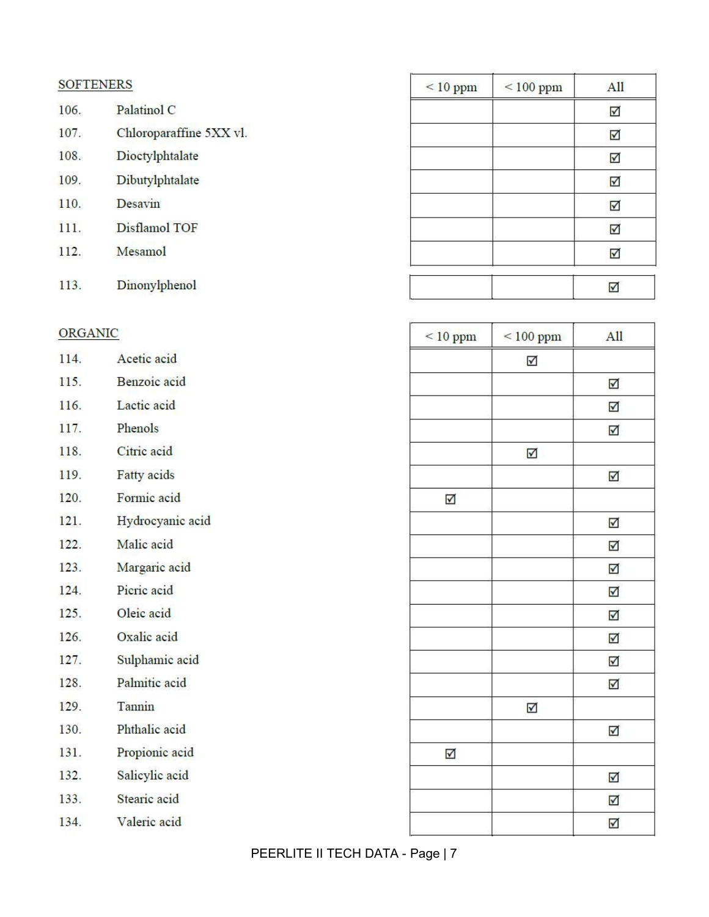### **SOFTENERS**

- Palatinol C 106. Chloroparaffine 5XX vl. 107. 108. Dioctylphtalate
- 109. Dibutylphtalate
- Desavin 110.
- **Disflamol TOF** 111.
- Mesamol  $112.$
- Dinonylphenol 113.

## ORGANIC

| 114. | Acetic acid        |
|------|--------------------|
| 115. | Benzoic acid       |
| 116. | Lactic acid        |
| 117. | Phenols            |
| 118. | Citric acid        |
| 119. | <b>Fatty</b> acids |
| 120. | Formic acid        |
| 121. | Hydrocyanic acid   |
| 122. | Malic acid         |
| 123. | Margaric acid      |
| 124. | Picric acid        |
| 125. | Oleic acid         |
| 126. | Oxalic acid        |
| 127. | Sulphamic acid     |
| 128. | Palmitic acid      |
| 129. | Tannin             |
| 130. | Phthalic acid      |
| 131. | Propionic acid     |
| 132. | Salicylic acid     |
| 133. | Stearic acid       |
| 134. | Valeric acid       |

| $< 10$ ppm | $< 100$ ppm | All |
|------------|-------------|-----|
|            |             | ☑   |
|            |             | ☑   |
|            |             | ☑   |
|            |             | ☑   |
|            |             | ☑   |
|            |             | ☑   |
|            |             | ☑   |
|            |             |     |

| $< 10$ ppm           | $\leq 100$ ppm | All        |
|----------------------|----------------|------------|
|                      | ☑              |            |
|                      |                | ☑          |
|                      |                | ☑          |
|                      |                | ☑          |
|                      | ☑              |            |
|                      |                | ☑          |
| $\triangledown$      |                |            |
|                      |                | $\sqrt{ }$ |
|                      |                | ☑          |
|                      |                | ☑          |
|                      |                | ☑          |
|                      |                | ☑          |
|                      |                | ☑          |
|                      |                | ☑          |
|                      |                | ☑          |
|                      | ☑              |            |
|                      |                | ☑          |
| $\blacktriangledown$ |                |            |
|                      |                | ☑          |
|                      |                | ☑          |
|                      |                | ☑          |

PEERLITE II TECH DATA - Page | 7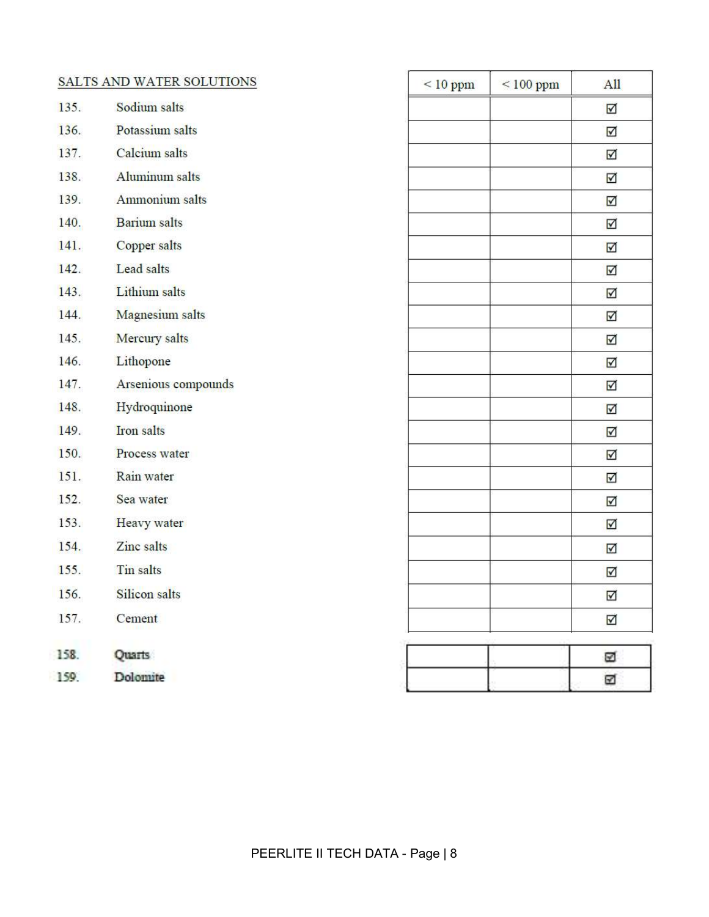| SALTS AND WATER SOLUTIONS |                      | $\leq 10$ ppm | $< 100$ ppm | All                     |
|---------------------------|----------------------|---------------|-------------|-------------------------|
| 135.                      | Sodium salts         |               |             | $\triangledown$         |
| 136.                      | Potassium salts      |               |             | $\overline{\mathbf{M}}$ |
| 137.                      | Calcium salts        |               |             | $\overline{\vee}$       |
| 138.                      | Aluminum salts       |               |             | $\overline{\mathbf{M}}$ |
| 139.                      | Ammonium salts       |               |             | $\overline{\mathbf{M}}$ |
| 140.                      | <b>Barium</b> salts  |               |             | $\overline{\mathbf{v}}$ |
| 141.                      | Copper salts         |               |             | $\triangledown$         |
| 142.                      | Lead salts           |               |             | $\triangledown$         |
| 143.                      | <b>Lithium</b> salts |               |             | $\blacktriangledown$    |
| 144.                      | Magnesium salts      |               |             | $\overline{\mathbf{v}}$ |
| 145.                      | Mercury salts        |               |             | $\overline{\mathbf{v}}$ |
| 146.                      | Lithopone            |               |             | $\overline{\mathbf{M}}$ |
| 147.                      | Arsenious compounds  |               |             | $\overline{\mathbf{M}}$ |
| 148.                      | Hydroquinone         |               |             | $\blacktriangledown$    |
| 149.                      | <b>Iron</b> salts    |               |             | $\triangledown$         |
| 150.                      | Process water        |               |             | $\blacktriangledown$    |
| 151.                      | Rain water           |               |             | $\blacktriangledown$    |
| 152.                      | Sea water            |               |             | $\blacktriangledown$    |
| 153.                      | Heavy water          |               |             | $\overline{\mathbf{v}}$ |
| 154.                      | Zinc salts           |               |             | $\overline{\mathbf{v}}$ |
| 155.                      | Tin salts            |               |             | $\triangledown$         |
| 156.                      | Silicon salts        |               |             | ☑                       |
| 157.                      | Cement               |               |             | $\overline{\mathbf{v}}$ |
| 158.                      | Quarts               |               |             | ☑                       |
| 159.                      | Dolomite             |               |             | ☑                       |